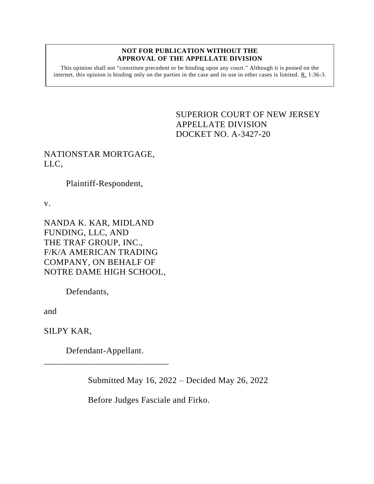## **NOT FOR PUBLICATION WITHOUT THE APPROVAL OF THE APPELLATE DIVISION**

This opinion shall not "constitute precedent or be binding upon any court." Although it is posted on the internet, this opinion is binding only on the parties in the case and its use in other cases is limited. R. 1:36-3.

## <span id="page-0-0"></span>SUPERIOR COURT OF NEW JERSEY APPELLATE DIVISION DOCKET NO. A-3427-20

## NATIONSTAR MORTGAGE, LLC,

Plaintiff-Respondent,

v.

NANDA K. KAR, MIDLAND FUNDING, LLC, AND THE TRAF GROUP, INC., F/K/A AMERICAN TRADING COMPANY, ON BEHALF OF NOTRE DAME HIGH SCHOOL,

Defendants,

and

SILPY KAR,

Defendant-Appellant. \_\_\_\_\_\_\_\_\_\_\_\_\_\_\_\_\_\_\_\_\_\_\_\_\_\_\_\_

Submitted May 16, 2022 – Decided May 26, 2022

Before Judges Fasciale and Firko.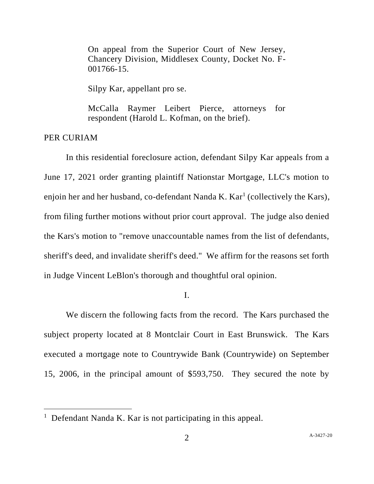On appeal from the Superior Court of New Jersey, Chancery Division, Middlesex County, Docket No. F-001766-15.

Silpy Kar, appellant pro se.

McCalla Raymer Leibert Pierce, attorneys for respondent (Harold L. Kofman, on the brief).

PER CURIAM

In this residential foreclosure action, defendant Silpy Kar appeals from a June 17, 2021 order granting plaintiff Nationstar Mortgage, LLC's motion to enjoin her and her husband, co-defendant Nanda K. Kar<sup>1</sup> (collectively the Kars), from filing further motions without prior court approval. The judge also denied the Kars's motion to "remove unaccountable names from the list of defendants, sheriff's deed, and invalidate sheriff's deed." We affirm for the reasons set forth in Judge Vincent LeBlon's thorough and thoughtful oral opinion.

I.

We discern the following facts from the record. The Kars purchased the subject property located at 8 Montclair Court in East Brunswick. The Kars executed a mortgage note to Countrywide Bank (Countrywide) on September 15, 2006, in the principal amount of \$593,750. They secured the note by

<sup>&</sup>lt;sup>1</sup> Defendant Nanda K. Kar is not participating in this appeal.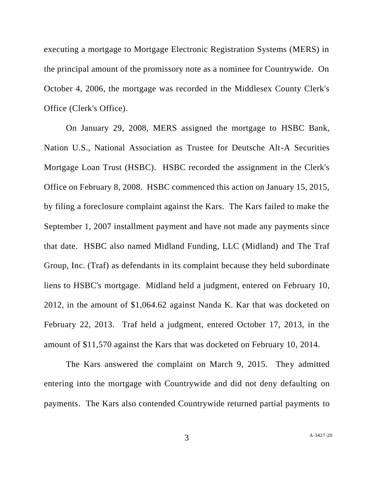executing a mortgage to Mortgage Electronic Registration Systems (MERS) in the principal amount of the promissory note as a nominee for Countrywide. On October 4, 2006, the mortgage was recorded in the Middlesex County Clerk's Office (Clerk's Office).

On January 29, 2008, MERS assigned the mortgage to HSBC Bank, Nation U.S., National Association as Trustee for Deutsche Alt-A Securities Mortgage Loan Trust (HSBC). HSBC recorded the assignment in the Clerk's Office on February 8, 2008. HSBC commenced this action on January 15, 2015, by filing a foreclosure complaint against the Kars. The Kars failed to make the September 1, 2007 installment payment and have not made any payments since that date. HSBC also named Midland Funding, LLC (Midland) and The Traf Group, Inc. (Traf) as defendants in its complaint because they held subordinate liens to HSBC's mortgage. Midland held a judgment, entered on February 10, 2012, in the amount of \$1,064.62 against Nanda K. Kar that was docketed on February 22, 2013. Traf held a judgment, entered October 17, 2013, in the amount of \$11,570 against the Kars that was docketed on February 10, 2014.

The Kars answered the complaint on March 9, 2015. They admitted entering into the mortgage with Countrywide and did not deny defaulting on payments. The Kars also contended Countrywide returned partial payments to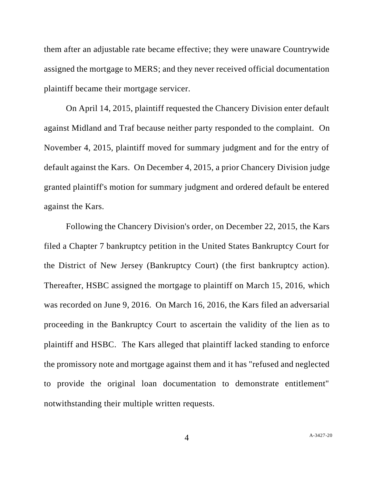them after an adjustable rate became effective; they were unaware Countrywide assigned the mortgage to MERS; and they never received official documentation plaintiff became their mortgage servicer.

On April 14, 2015, plaintiff requested the Chancery Division enter default against Midland and Traf because neither party responded to the complaint. On November 4, 2015, plaintiff moved for summary judgment and for the entry of default against the Kars. On December 4, 2015, a prior Chancery Division judge granted plaintiff's motion for summary judgment and ordered default be entered against the Kars.

Following the Chancery Division's order, on December 22, 2015, the Kars filed a Chapter 7 bankruptcy petition in the United States Bankruptcy Court for the District of New Jersey (Bankruptcy Court) (the first bankruptcy action). Thereafter, HSBC assigned the mortgage to plaintiff on March 15, 2016, which was recorded on June 9, 2016. On March 16, 2016, the Kars filed an adversarial proceeding in the Bankruptcy Court to ascertain the validity of the lien as to plaintiff and HSBC. The Kars alleged that plaintiff lacked standing to enforce the promissory note and mortgage against them and it has "refused and neglected to provide the original loan documentation to demonstrate entitlement" notwithstanding their multiple written requests.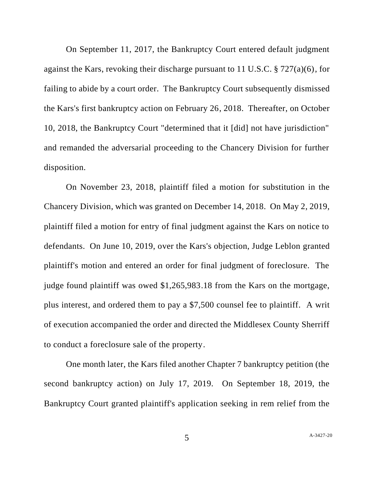On September 11, 2017, the Bankruptcy Court entered default judgment against the Kars, revoking their discharge pursuant to 11 U.S.C. § 727(a)(6), for failing to abide by a court order. The Bankruptcy Court subsequently dismissed the Kars's first bankruptcy action on February 26, 2018. Thereafter, on October 10, 2018, the Bankruptcy Court "determined that it [did] not have jurisdiction" and remanded the adversarial proceeding to the Chancery Division for further disposition.

On November 23, 2018, plaintiff filed a motion for substitution in the Chancery Division, which was granted on December 14, 2018. On May 2, 2019, plaintiff filed a motion for entry of final judgment against the Kars on notice to defendants. On June 10, 2019, over the Kars's objection, Judge Leblon granted plaintiff's motion and entered an order for final judgment of foreclosure. The judge found plaintiff was owed \$1,265,983.18 from the Kars on the mortgage, plus interest, and ordered them to pay a \$7,500 counsel fee to plaintiff. A writ of execution accompanied the order and directed the Middlesex County Sherriff to conduct a foreclosure sale of the property.

One month later, the Kars filed another Chapter 7 bankruptcy petition (the second bankruptcy action) on July 17, 2019. On September 18, 2019, the Bankruptcy Court granted plaintiff's application seeking in rem relief from the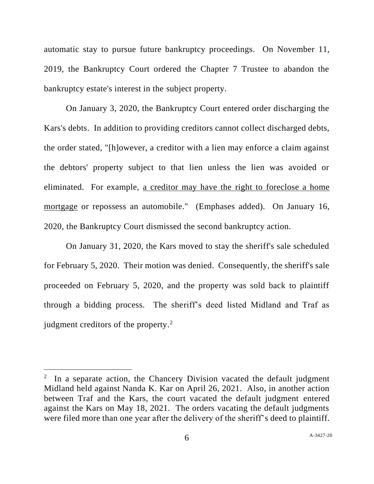automatic stay to pursue future bankruptcy proceedings. On November 11, 2019, the Bankruptcy Court ordered the Chapter 7 Trustee to abandon the bankruptcy estate's interest in the subject property.

On January 3, 2020, the Bankruptcy Court entered order discharging the Kars's debts. In addition to providing creditors cannot collect discharged debts, the order stated, "[h]owever, a creditor with a lien may enforce a claim against the debtors' property subject to that lien unless the lien was avoided or eliminated. For example, a creditor may have the right to foreclose a home mortgage or repossess an automobile." (Emphases added). On January 16, 2020, the Bankruptcy Court dismissed the second bankruptcy action.

On January 31, 2020, the Kars moved to stay the sheriff's sale scheduled for February 5, 2020. Their motion was denied. Consequently, the sheriff's sale proceeded on February 5, 2020, and the property was sold back to plaintiff through a bidding process. The sheriff's deed listed Midland and Traf as judgment creditors of the property. $2$ 

<sup>&</sup>lt;sup>2</sup> In a separate action, the Chancery Division vacated the default judgment Midland held against Nanda K. Kar on April 26, 2021. Also, in another action between Traf and the Kars, the court vacated the default judgment entered against the Kars on May 18, 2021. The orders vacating the default judgments were filed more than one year after the delivery of the sheriff's deed to plaintiff.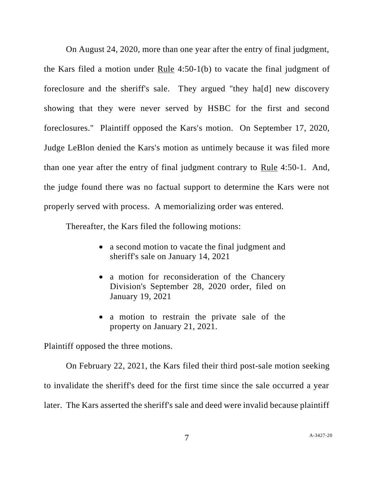On August 24, 2020, more than one year after the entry of final judgment, the Kars filed a motion under Rule 4:50-1(b) to vacate the final judgment of foreclosure and the sheriff's sale. They argued "they ha[d] new discovery showing that they were never served by HSBC for the first and second foreclosures." Plaintiff opposed the Kars's motion. On September 17, 2020, Judge LeBlon denied the Kars's motion as untimely because it was filed more than one year after the entry of final judgment contrary to Rule 4:50-1. And, the judge found there was no factual support to determine the Kars were not properly served with process. A memorializing order was entered.

Thereafter, the Kars filed the following motions:

- a second motion to vacate the final judgment and sheriff's sale on January 14, 2021
- a motion for reconsideration of the Chancery Division's September 28, 2020 order, filed on January 19, 2021
- a motion to restrain the private sale of the property on January 21, 2021.

Plaintiff opposed the three motions.

On February 22, 2021, the Kars filed their third post-sale motion seeking to invalidate the sheriff's deed for the first time since the sale occurred a year later. The Kars asserted the sheriff's sale and deed were invalid because plaintiff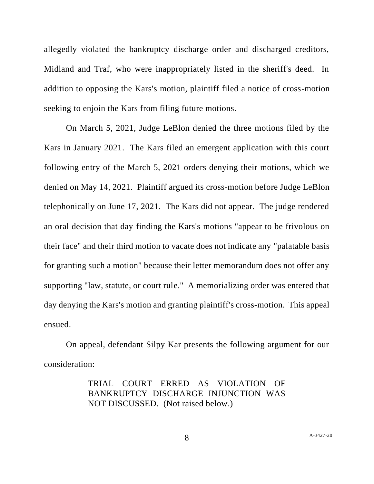allegedly violated the bankruptcy discharge order and discharged creditors, Midland and Traf, who were inappropriately listed in the sheriff's deed. In addition to opposing the Kars's motion, plaintiff filed a notice of cross-motion seeking to enjoin the Kars from filing future motions.

On March 5, 2021, Judge LeBlon denied the three motions filed by the Kars in January 2021. The Kars filed an emergent application with this court following entry of the March 5, 2021 orders denying their motions, which we denied on May 14, 2021. Plaintiff argued its cross-motion before Judge LeBlon telephonically on June 17, 2021. The Kars did not appear. The judge rendered an oral decision that day finding the Kars's motions "appear to be frivolous on their face" and their third motion to vacate does not indicate any "palatable basis for granting such a motion" because their letter memorandum does not offer any supporting "law, statute, or court rule." A memorializing order was entered that day denying the Kars's motion and granting plaintiff's cross-motion. This appeal ensued.

On appeal, defendant Silpy Kar presents the following argument for our consideration:

> TRIAL COURT ERRED AS VIOLATION OF BANKRUPTCY DISCHARGE INJUNCTION WAS NOT DISCUSSED. (Not raised below.)

8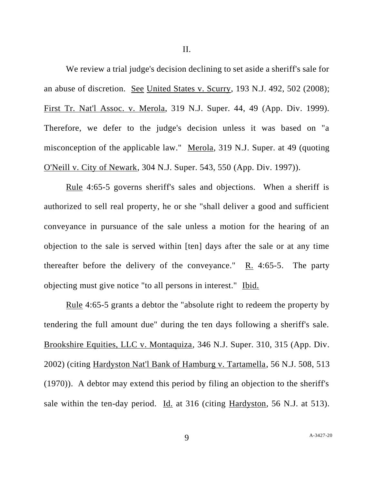II.

We review a trial judge's decision declining to set aside a sheriff's sale for an abuse of discretion. See United States v. Scurry, 193 N.J. 492, 502 (2008); First Tr. Nat'l Assoc. v. Merola, 319 N.J. Super. 44, 49 (App. Div. 1999). Therefore, we defer to the judge's decision unless it was based on "a misconception of the applicable law." Merola, 319 N.J. Super. at 49 (quoting O'Neill v. City of Newark, 304 N.J. Super. 543, 550 (App. Div. 1997)).

Rule 4:65-5 governs sheriff's sales and objections. When a sheriff is authorized to sell real property, he or she "shall deliver a good and sufficient conveyance in pursuance of the sale unless a motion for the hearing of an objection to the sale is served within [ten] days after the sale or at any time thereafter before the delivery of the conveyance." R. 4:65-5. The party objecting must give notice "to all persons in interest." Ibid.

<u>Rule</u> 4:65-5 grants a debtor the "absolute right to redeem the property by tendering the full amount due" during the ten days following a sheriff's sale. Brookshire Equities, LLC v. Montaquiza, 346 N.J. Super. 310, 315 (App. Div. 2002) (citing Hardyston Nat'l Bank of Hamburg v. Tartamella, 56 N.J. 508, 513 (1970)). A debtor may extend this period by filing an objection to the sheriff's sale within the ten-day period. Id. at 316 (citing Hardyston, 56 N.J. at 513).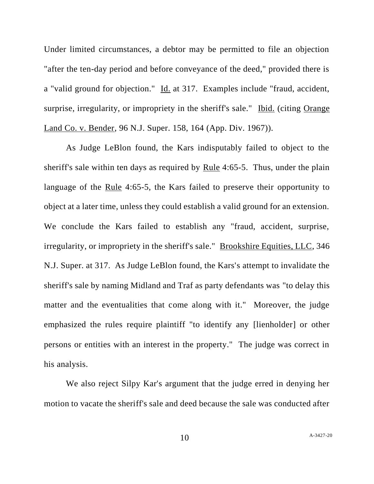Under limited circumstances, a debtor may be permitted to file an objection "after the ten-day period and before conveyance of the deed," provided there is a "valid ground for objection." Id. at 317. Examples include "fraud, accident, surprise, irregularity, or impropriety in the sheriff's sale." Ibid. (citing Orange Land Co. v. Bender, 96 N.J. Super. 158, 164 (App. Div. 1967)).

As Judge LeBlon found, the Kars indisputably failed to object to the sheriff's sale within ten days as required by Rule 4:65-5. Thus, under the plain language of the Rule 4:65-5, the Kars failed to preserve their opportunity to object at a later time, unless they could establish a valid ground for an extension. We conclude the Kars failed to establish any "fraud, accident, surprise, irregularity, or impropriety in the sheriff's sale." Brookshire Equities, LLC, 346 N.J. Super. at 317. As Judge LeBlon found, the Kars's attempt to invalidate the sheriff's sale by naming Midland and Traf as party defendants was "to delay this matter and the eventualities that come along with it." Moreover, the judge emphasized the rules require plaintiff "to identify any [lienholder] or other persons or entities with an interest in the property." The judge was correct in his analysis.

We also reject Silpy Kar's argument that the judge erred in denying her motion to vacate the sheriff's sale and deed because the sale was conducted after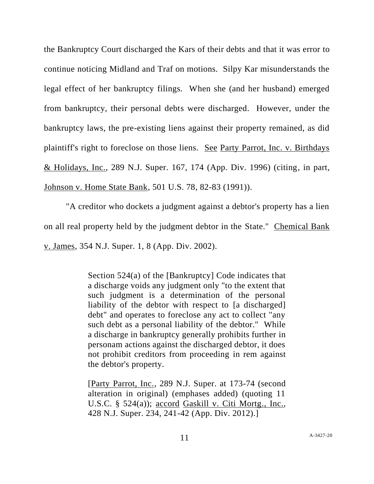the Bankruptcy Court discharged the Kars of their debts and that it was error to continue noticing Midland and Traf on motions. Silpy Kar misunderstands the legal effect of her bankruptcy filings. When she (and her husband) emerged from bankruptcy, their personal debts were discharged. However, under the bankruptcy laws, the pre-existing liens against their property remained, as did plaintiff's right to foreclose on those liens. See Party Parrot, Inc. v. Birthdays & Holidays, Inc., 289 N.J. Super. 167, 174 (App. Div. 1996) (citing, in part, Johnson v. Home State Bank, 501 U.S. 78, 82-83 (1991)).

"A creditor who dockets a judgment against a debtor's property has a lien on all real property held by the judgment debtor in the State." Chemical Bank v. James, 354 N.J. Super. 1, 8 (App. Div. 2002).

> Section 524(a) of the [Bankruptcy] Code indicates that a discharge voids any judgment only "to the extent that such judgment is a determination of the personal liability of the debtor with respect to [a discharged] debt" and operates to foreclose any act to collect "any such debt as a personal liability of the debtor." While a discharge in bankruptcy generally prohibits further in personam actions against the discharged debtor, it does not prohibit creditors from proceeding in rem against the debtor's property.

> [Party Parrot, Inc., 289 N.J. Super. at 173-74 (second alteration in original) (emphases added) (quoting 11 U.S.C. § 524(a)); accord Gaskill v. Citi Mortg., Inc., 428 N.J. Super. 234, 241-42 (App. Div. 2012).]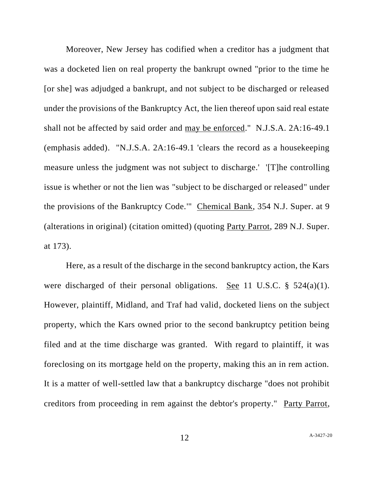Moreover, New Jersey has codified when a creditor has a judgment that was a docketed lien on real property the bankrupt owned "prior to the time he [or she] was adjudged a bankrupt, and not subject to be discharged or released under the provisions of the Bankruptcy Act, the lien thereof upon said real estate shall not be affected by said order and may be enforced." N.J.S.A. 2A:16-49.1 (emphasis added). "N.J.S.A. 2A:16-49.1 'clears the record as a housekeeping measure unless the judgment was not subject to discharge.' '[T]he controlling issue is whether or not the lien was "subject to be discharged or released" under the provisions of the Bankruptcy Code.'" Chemical Bank, 354 N.J. Super. at 9 (alterations in original) (citation omitted) (quoting Party Parrot, 289 N.J. Super. at 173).

Here, as a result of the discharge in the second bankruptcy action, the Kars were discharged of their personal obligations. See 11 U.S.C. § 524(a)(1). However, plaintiff, Midland, and Traf had valid, docketed liens on the subject property, which the Kars owned prior to the second bankruptcy petition being filed and at the time discharge was granted. With regard to plaintiff, it was foreclosing on its mortgage held on the property, making this an in rem action. It is a matter of well-settled law that a bankruptcy discharge "does not prohibit creditors from proceeding in rem against the debtor's property." Party Parrot,